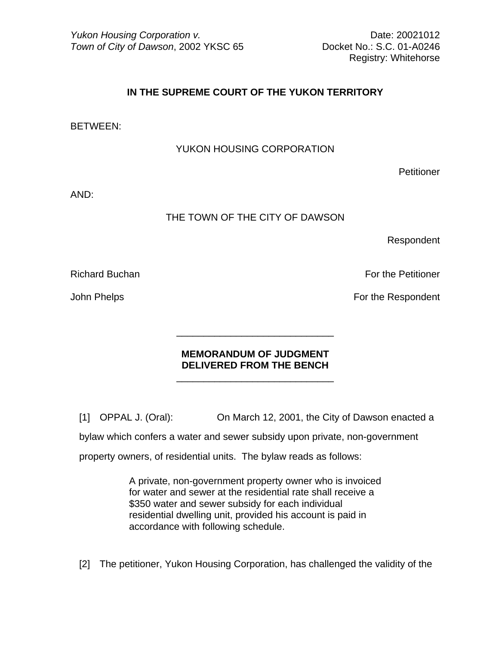Registry: Whitehorse

## **IN THE SUPREME COURT OF THE YUKON TERRITORY**

BETWEEN:

YUKON HOUSING CORPORATION

**Petitioner** 

AND:

## THE TOWN OF THE CITY OF DAWSON

Respondent

Richard Buchan For the Petitioner **For the Petitioner** 

John Phelps **For the Respondent** 

## **MEMORANDUM OF JUDGMENT DELIVERED FROM THE BENCH**

[1] OPPAL J. (Oral): On March 12, 2001, the City of Dawson enacted a

bylaw which confers a water and sewer subsidy upon private, non-government

property owners, of residential units. The bylaw reads as follows:

 $\frac{1}{\sqrt{2}}$  ,  $\frac{1}{\sqrt{2}}$  ,  $\frac{1}{\sqrt{2}}$  ,  $\frac{1}{\sqrt{2}}$  ,  $\frac{1}{\sqrt{2}}$  ,  $\frac{1}{\sqrt{2}}$  ,  $\frac{1}{\sqrt{2}}$  ,  $\frac{1}{\sqrt{2}}$  ,  $\frac{1}{\sqrt{2}}$  ,  $\frac{1}{\sqrt{2}}$  ,  $\frac{1}{\sqrt{2}}$  ,  $\frac{1}{\sqrt{2}}$  ,  $\frac{1}{\sqrt{2}}$  ,  $\frac{1}{\sqrt{2}}$  ,  $\frac{1}{\sqrt{2}}$ 

 $\frac{1}{\sqrt{2\pi}}$  ,  $\frac{1}{\sqrt{2\pi}}$  ,  $\frac{1}{\sqrt{2\pi}}$  ,  $\frac{1}{\sqrt{2\pi}}$  ,  $\frac{1}{\sqrt{2\pi}}$  ,  $\frac{1}{\sqrt{2\pi}}$  ,  $\frac{1}{\sqrt{2\pi}}$  ,  $\frac{1}{\sqrt{2\pi}}$  ,  $\frac{1}{\sqrt{2\pi}}$  ,  $\frac{1}{\sqrt{2\pi}}$  ,  $\frac{1}{\sqrt{2\pi}}$  ,  $\frac{1}{\sqrt{2\pi}}$  ,  $\frac{1}{\sqrt{2\pi}}$  ,

A private, non-government property owner who is invoiced for water and sewer at the residential rate shall receive a \$350 water and sewer subsidy for each individual residential dwelling unit, provided his account is paid in accordance with following schedule.

[2] The petitioner, Yukon Housing Corporation, has challenged the validity of the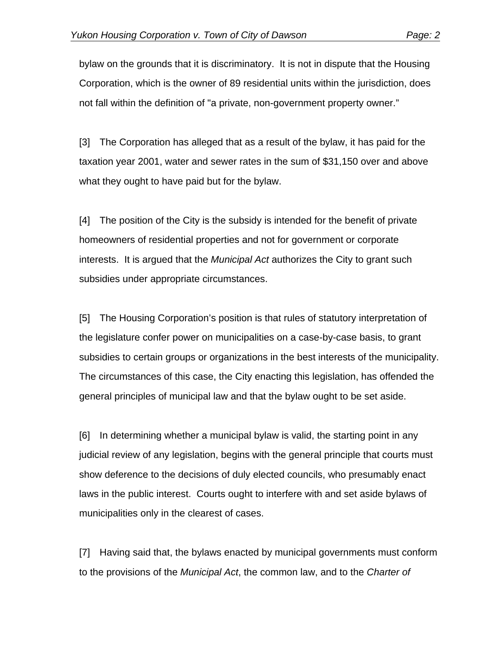bylaw on the grounds that it is discriminatory. It is not in dispute that the Housing Corporation, which is the owner of 89 residential units within the jurisdiction, does not fall within the definition of "a private, non-government property owner."

[3] The Corporation has alleged that as a result of the bylaw, it has paid for the taxation year 2001, water and sewer rates in the sum of \$31,150 over and above what they ought to have paid but for the bylaw.

[4] The position of the City is the subsidy is intended for the benefit of private homeowners of residential properties and not for government or corporate interests. It is argued that the *Municipal Act* authorizes the City to grant such subsidies under appropriate circumstances.

[5] The Housing Corporation's position is that rules of statutory interpretation of the legislature confer power on municipalities on a case-by-case basis, to grant subsidies to certain groups or organizations in the best interests of the municipality. The circumstances of this case, the City enacting this legislation, has offended the general principles of municipal law and that the bylaw ought to be set aside.

[6] In determining whether a municipal bylaw is valid, the starting point in any judicial review of any legislation, begins with the general principle that courts must show deference to the decisions of duly elected councils, who presumably enact laws in the public interest. Courts ought to interfere with and set aside bylaws of municipalities only in the clearest of cases.

[7] Having said that, the bylaws enacted by municipal governments must conform to the provisions of the *Municipal Act*, the common law, and to the *Charter of*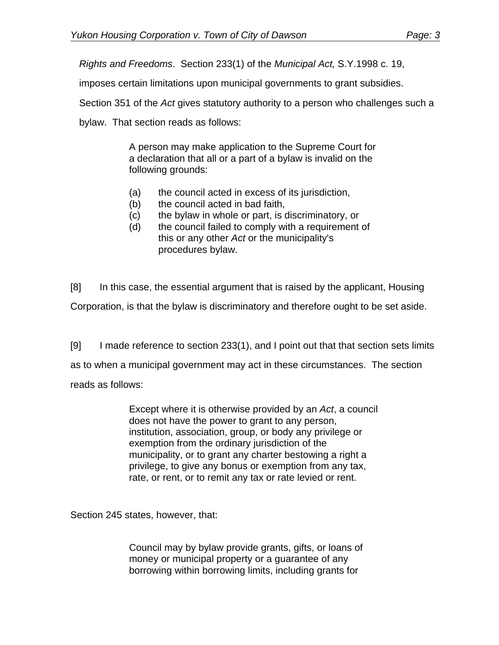*Rights and Freedoms*. Section 233(1) of the *Municipal Act,* S.Y.1998 c. 19,

imposes certain limitations upon municipal governments to grant subsidies.

Section 351 of the *Act* gives statutory authority to a person who challenges such a

bylaw. That section reads as follows:

A person may make application to the Supreme Court for a declaration that all or a part of a bylaw is invalid on the following grounds:

- (a) the council acted in excess of its jurisdiction,
- (b) the council acted in bad faith,
- (c) the bylaw in whole or part, is discriminatory, or
- (d) the council failed to comply with a requirement of this or any other *Act* or the municipality's procedures bylaw.

[8] In this case, the essential argument that is raised by the applicant, Housing Corporation, is that the bylaw is discriminatory and therefore ought to be set aside.

[9] I made reference to section 233(1), and I point out that that section sets limits as to when a municipal government may act in these circumstances. The section reads as follows:

> Except where it is otherwise provided by an *Act*, a council does not have the power to grant to any person, institution, association, group, or body any privilege or exemption from the ordinary jurisdiction of the municipality, or to grant any charter bestowing a right a privilege, to give any bonus or exemption from any tax, rate, or rent, or to remit any tax or rate levied or rent.

Section 245 states, however, that:

Council may by bylaw provide grants, gifts, or loans of money or municipal property or a guarantee of any borrowing within borrowing limits, including grants for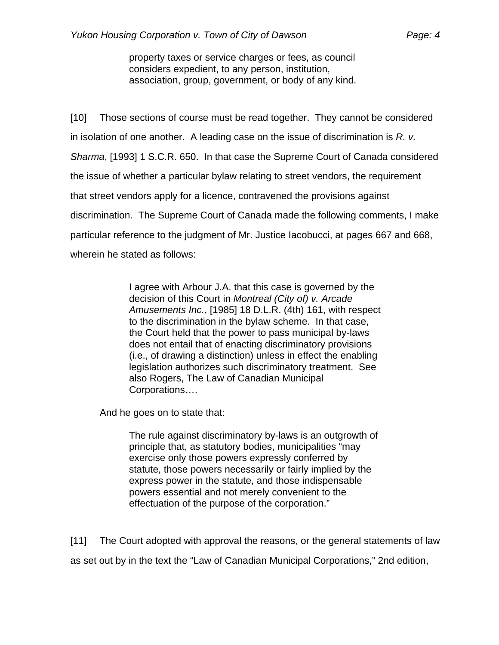property taxes or service charges or fees, as council considers expedient, to any person, institution, association, group, government, or body of any kind.

[10] Those sections of course must be read together. They cannot be considered in isolation of one another. A leading case on the issue of discrimination is *R. v. Sharma*, [1993] 1 S.C.R. 650. In that case the Supreme Court of Canada considered the issue of whether a particular bylaw relating to street vendors, the requirement that street vendors apply for a licence, contravened the provisions against discrimination. The Supreme Court of Canada made the following comments, I make particular reference to the judgment of Mr. Justice Iacobucci, at pages 667 and 668, wherein he stated as follows:

> I agree with Arbour J.A. that this case is governed by the decision of this Court in *Montreal (City of) v. Arcade Amusements Inc.*, [1985] 18 D.L.R. (4th) 161, with respect to the discrimination in the bylaw scheme. In that case, the Court held that the power to pass municipal by-laws does not entail that of enacting discriminatory provisions (i.e., of drawing a distinction) unless in effect the enabling legislation authorizes such discriminatory treatment. See also Rogers, The Law of Canadian Municipal Corporations….

And he goes on to state that:

The rule against discriminatory by-laws is an outgrowth of principle that, as statutory bodies, municipalities "may exercise only those powers expressly conferred by statute, those powers necessarily or fairly implied by the express power in the statute, and those indispensable powers essential and not merely convenient to the effectuation of the purpose of the corporation."

[11] The Court adopted with approval the reasons, or the general statements of law as set out by in the text the "Law of Canadian Municipal Corporations," 2nd edition,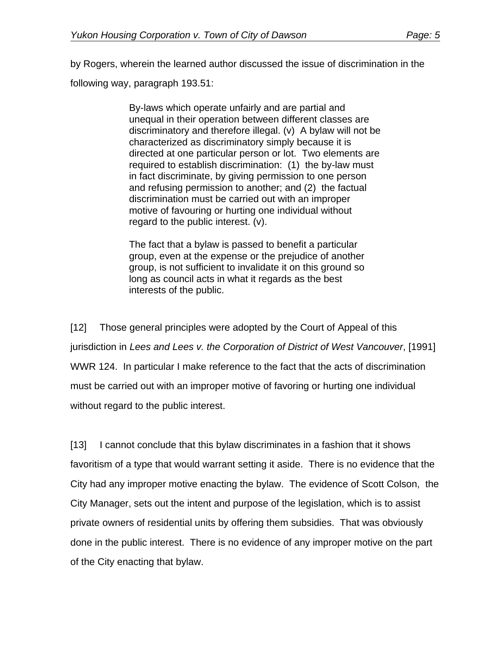by Rogers, wherein the learned author discussed the issue of discrimination in the following way, paragraph 193.51:

> By-laws which operate unfairly and are partial and unequal in their operation between different classes are discriminatory and therefore illegal. (v) A bylaw will not be characterized as discriminatory simply because it is directed at one particular person or lot. Two elements are required to establish discrimination: (1) the by-law must in fact discriminate, by giving permission to one person and refusing permission to another; and (2) the factual discrimination must be carried out with an improper motive of favouring or hurting one individual without regard to the public interest. (v).

The fact that a bylaw is passed to benefit a particular group, even at the expense or the prejudice of another group, is not sufficient to invalidate it on this ground so long as council acts in what it regards as the best interests of the public.

[12] Those general principles were adopted by the Court of Appeal of this jurisdiction in *Lees and Lees v. the Corporation of District of West Vancouver*, [1991] WWR 124. In particular I make reference to the fact that the acts of discrimination must be carried out with an improper motive of favoring or hurting one individual without regard to the public interest.

[13] I cannot conclude that this bylaw discriminates in a fashion that it shows favoritism of a type that would warrant setting it aside. There is no evidence that the City had any improper motive enacting the bylaw. The evidence of Scott Colson, the City Manager, sets out the intent and purpose of the legislation, which is to assist private owners of residential units by offering them subsidies. That was obviously done in the public interest. There is no evidence of any improper motive on the part of the City enacting that bylaw.